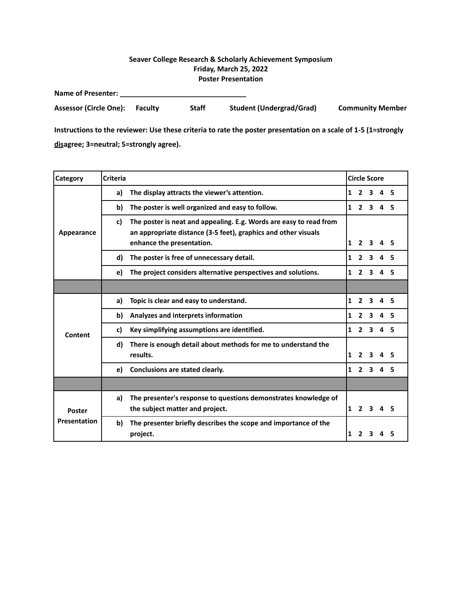## **Seaver College Research & Scholarly Achievement Symposium Friday, March 25, 2022 Poster Presentation**

| <b>Name of Presenter:</b>     |                |              |                                 |                         |
|-------------------------------|----------------|--------------|---------------------------------|-------------------------|
| <b>Assessor (Circle One):</b> | <b>Faculty</b> | <b>Staff</b> | <b>Student (Undergrad/Grad)</b> | <b>Community Member</b> |

| <b>Category</b>     | <b>Criteria</b>                                                                                                                                                         |   |                | <b>Circle Score</b>     |              |    |
|---------------------|-------------------------------------------------------------------------------------------------------------------------------------------------------------------------|---|----------------|-------------------------|--------------|----|
|                     | The display attracts the viewer's attention.<br>a)                                                                                                                      | 1 |                | 2 <sub>3</sub>          | 4            | -5 |
|                     | The poster is well organized and easy to follow.<br>b)                                                                                                                  | 1 |                | 2 <sub>3</sub>          | $\mathbf{a}$ | 5  |
| Appearance          | The poster is neat and appealing. E.g. Words are easy to read from<br>c)<br>an appropriate distance (3-5 feet), graphics and other visuals<br>enhance the presentation. | 1 | $\mathbf{2}$   | 3.                      | 4            | 5  |
|                     | The poster is free of unnecessary detail.<br>d)                                                                                                                         | 1 | $\mathbf{2}$   | $\overline{\mathbf{3}}$ | 4            | 5  |
|                     | The project considers alternative perspectives and solutions.<br>e)                                                                                                     | 1 | $\overline{2}$ | 3                       | 4            | 5  |
|                     |                                                                                                                                                                         |   |                |                         |              |    |
|                     | Topic is clear and easy to understand.<br>a)                                                                                                                            | 1 | $\overline{2}$ | $\overline{\mathbf{3}}$ | 4            | -5 |
|                     | Analyzes and interprets information<br>b)                                                                                                                               | 1 | $\mathbf{2}$   | $\overline{\mathbf{3}}$ | 4            | 5  |
| Content             | Key simplifying assumptions are identified.<br>c)                                                                                                                       | 1 |                | 2 <sub>3</sub>          | 4            | 5  |
|                     | There is enough detail about methods for me to understand the<br>d)<br>results.                                                                                         | 1 | $\overline{2}$ | 3                       | 4            |    |
|                     | Conclusions are stated clearly.<br>e)                                                                                                                                   | 1 | $\mathbf{2}$   | $\mathbf{3}$            | 4            |    |
|                     |                                                                                                                                                                         |   |                |                         |              |    |
| <b>Poster</b>       | The presenter's response to questions demonstrates knowledge of<br>a)<br>the subject matter and project.                                                                | 1 | 2 <sub>3</sub> |                         | 4            | 5  |
| <b>Presentation</b> | The presenter briefly describes the scope and importance of the<br>b)<br>project.                                                                                       | 1 | 2              |                         |              | 5  |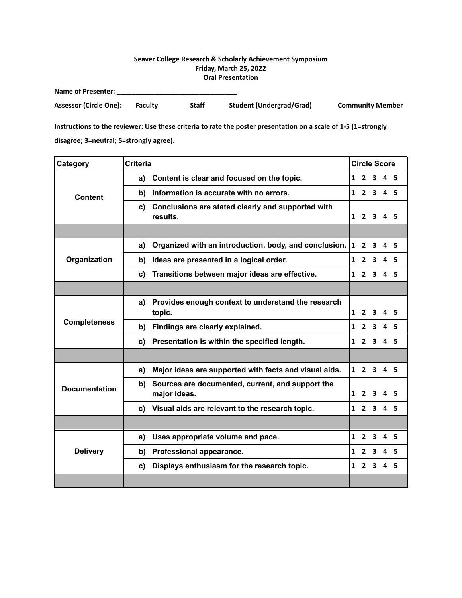## **Seaver College Research & Scholarly Achievement Symposium Friday, March 25, 2022 Oral Presentation**

| <b>Name of Presenter:</b> |                |              |                                 |                         |
|---------------------------|----------------|--------------|---------------------------------|-------------------------|
| Assessor (Circle One):    | <b>Faculty</b> | <b>Staff</b> | <b>Student (Undergrad/Grad)</b> | <b>Community Member</b> |

| Category             | <b>Criteria</b>                                                        |              | <b>Circle Score</b> |                         |                     |     |
|----------------------|------------------------------------------------------------------------|--------------|---------------------|-------------------------|---------------------|-----|
|                      | Content is clear and focused on the topic.<br>$\mathbf{1}$<br>a)       |              | 2 <sub>3</sub>      |                         | 4 <sub>5</sub>      |     |
| <b>Content</b>       | Information is accurate with no errors.<br>b)                          | $\mathbf{1}$ |                     | $2 \overline{3}$        | 4 <sub>5</sub>      |     |
|                      | Conclusions are stated clearly and supported with<br>C)<br>results.    |              | $1\quad 2\quad 3$   |                         | 45                  |     |
|                      |                                                                        |              |                     |                         |                     |     |
|                      | Organized with an introduction, body, and conclusion.<br>a)            |              | $1\quad 2$          | 3                       | 4 <sub>5</sub>      |     |
| Organization         | Ideas are presented in a logical order.<br>b)                          | $\mathbf{1}$ | $\mathbf{2}$        | 3                       | 45                  |     |
|                      | Transitions between major ideas are effective.<br>C)                   | $\mathbf{1}$ |                     | $2 \quad 3$             | 4 <sub>5</sub>      |     |
|                      |                                                                        |              |                     |                         |                     |     |
| <b>Completeness</b>  | Provides enough context to understand the research<br>a)<br>topic.     | $\mathbf{1}$ | $\mathbf{2}$        | 3                       | 4                   | - 5 |
|                      | Findings are clearly explained.<br>b)                                  | $\mathbf{1}$ |                     | 2 <sub>3</sub>          | 4 <sub>5</sub>      |     |
|                      | Presentation is within the specified length.<br>c)                     |              | $1 \quad 2 \quad 3$ |                         | 4 <sub>5</sub>      |     |
|                      |                                                                        |              |                     |                         |                     |     |
|                      | Major ideas are supported with facts and visual aids.<br>a)            |              | $1 \quad 2 \quad 3$ |                         | 4 <sub>5</sub>      |     |
| <b>Documentation</b> | b)<br>Sources are documented, current, and support the<br>major ideas. | $\mathbf{1}$ | $\overline{2}$      | 3                       |                     | 5   |
|                      | Visual aids are relevant to the research topic.<br>c)                  |              |                     |                         | $1 \t2 \t3 \t4 \t5$ |     |
|                      |                                                                        |              |                     |                         |                     |     |
|                      | Uses appropriate volume and pace.<br>a)                                |              | $1\quad 2\quad 3$   |                         | 4                   | - 5 |
| <b>Delivery</b>      | Professional appearance.<br>b)                                         | 1            | $\overline{2}$      | 3                       | 45                  |     |
|                      | Displays enthusiasm for the research topic.<br>C)                      | $\mathbf{1}$ | $\overline{2}$      | $\overline{\mathbf{3}}$ | 4 <sub>5</sub>      |     |
|                      |                                                                        |              |                     |                         |                     |     |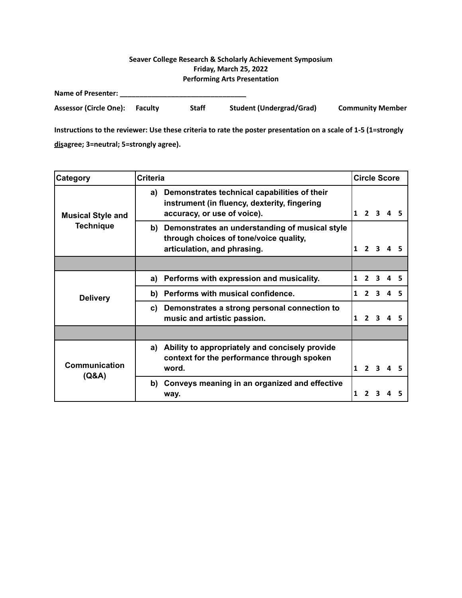## **Seaver College Research & Scholarly Achievement Symposium Friday, March 25, 2022 Performing Arts Presentation**

| <b>Name of Presenter:</b>     |                |       |                                 |                         |
|-------------------------------|----------------|-------|---------------------------------|-------------------------|
| <b>Assessor (Circle One):</b> | <b>Faculty</b> | Staff | <b>Student (Undergrad/Grad)</b> | <b>Community Member</b> |

| Category                                     | <b>Criteria</b>                                                                                                                   |   |              | <b>Circle Score</b> |  |
|----------------------------------------------|-----------------------------------------------------------------------------------------------------------------------------------|---|--------------|---------------------|--|
| <b>Musical Style and</b><br><b>Technique</b> | Demonstrates technical capabilities of their<br>a)<br>instrument (in fluency, dexterity, fingering<br>accuracy, or use of voice). | 1 |              |                     |  |
|                                              | Demonstrates an understanding of musical style<br>b)<br>through choices of tone/voice quality,<br>articulation, and phrasing.     | 1 |              |                     |  |
|                                              |                                                                                                                                   |   |              |                     |  |
| <b>Delivery</b>                              | Performs with expression and musicality.<br>a)                                                                                    |   |              | 3                   |  |
|                                              | Performs with musical confidence.<br>b)                                                                                           | 1 |              |                     |  |
|                                              | Demonstrates a strong personal connection to<br>C)<br>music and artistic passion.                                                 | 1 |              |                     |  |
|                                              |                                                                                                                                   |   |              |                     |  |
| <b>Communication</b>                         | Ability to appropriately and concisely provide<br>a)<br>context for the performance through spoken<br>word.                       | 1 | $\mathbf{z}$ |                     |  |
| (Q&A)                                        | Conveys meaning in an organized and effective<br>b)<br>way.                                                                       |   |              |                     |  |